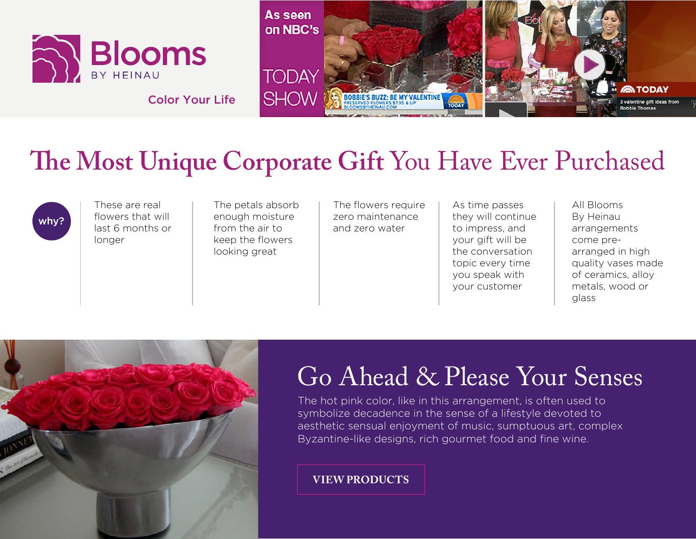



## **The Most Unique Corporate Gift** You Have Ever Purchased

why?

These are real flowers that will last 6 months or longer

The petals absorb enough moisture from the air to keep the flowers looking great

The flowers require zero maintenance and zero water

As time passes they will continue to impress, and your gift will be the conversation topic every time you speak with your customer

All Blooms By Heinau arrangements come prearranged in high quality vases made of ceramics, alloy metals, wood or glass



## Go Ahead & Please Your Senses

The hot pink color, like in this arrangement, is often used to symbolize decadence in the sense of a lifestyle devoted to aesthetic sensual enjoyment of music, sumptuous art, complex Byzantine-like designs, rich gourmet food and fine wine.

**[VIEW PRODUCTS](http://www.bloomsbyheinau.com/shop)**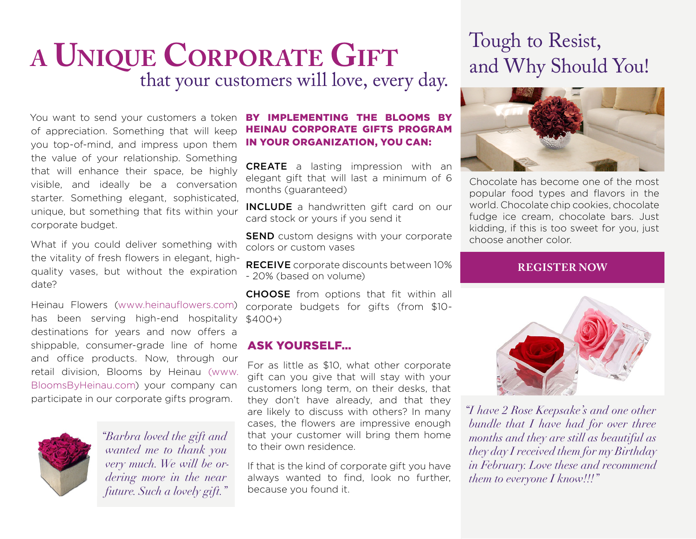## **A UNIQUE CORPORATE GIFT**<br>that your customers will love, every day.

You want to send your customers a token of appreciation. Something that will keep you top-of-mind, and impress upon them the value of your relationship. Something that will enhance their space, be highly visible, and ideally be a conversation starter. Something elegant, sophisticated, unique, but something that fits within your corporate budget.

What if you could deliver something with the vitality of fresh flowers in elegant, highquality vases, but without the expiration date?

Heinau Flowers [\(www.heinauflowers.com](http://www.heinauflowers.com)) has been serving high-end hospitality destinations for years and now offers a shippable, consumer-grade line of home and office products. Now, through our retail division, Blooms by Heinau [\(www.](http://(www.BloomsByHeinau.com) [BloomsByHeinau.com\)](http://(www.BloomsByHeinau.com) your company can participate in our corporate gifts program.



*"Barbra loved the gift and wanted me to thank you very much. We will be ordering more in the near future. Such a lovely gift."*

#### BY IMPLEMENTING THE BLOOMS BY HEINAU CORPORATE GIFTS PROGRAM IN YOUR ORGANIZATION, YOU CAN:

CREATE a lasting impression with an elegant gift that will last a minimum of 6 months (guaranteed)

INCLUDE a handwritten gift card on our card stock or yours if you send it

**SEND** custom designs with your corporate colors or custom vases

RECEIVE corporate discounts between 10% - 20% (based on volume)

CHOOSE from options that fit within all corporate budgets for gifts (from \$10-  $$400+)$ 

#### ASK YOURSELF…

For as little as \$10, what other corporate gift can you give that will stay with your customers long term, on their desks, that they don't have already, and that they are likely to discuss with others? In many cases, the flowers are impressive enough that your customer will bring them home to their own residence.

If that is the kind of corporate gift you have always wanted to find, look no further, because you found it.

### Tough to Resist, and Why Should You!



Chocolate has become one of the most popular food types and flavors in the world. Chocolate chip cookies, chocolate fudge ice cream, chocolate bars. Just kidding, if this is too sweet for you, just choose another color.

#### **[REGISTER NOW](https://www.bloomsbyheinau.com/register.asp?cg=0)**



*"I have 2 Rose Keepsake's and one other bundle that I have had for over three months and they are still as beautiful as they day I received them for my Birthday in February. Love these and recommend them to everyone I know!!!"*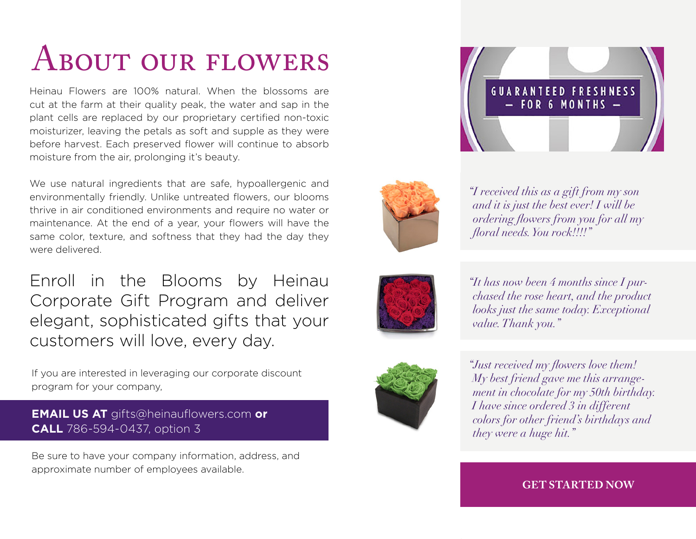## ABOUT OUR FLOWERS

Heinau Flowers are 100% natural. When the blossoms are cut at the farm at their quality peak, the water and sap in the plant cells are replaced by our proprietary certified non-toxic moisturizer, leaving the petals as soft and supple as they were before harvest. Each preserved flower will continue to absorb moisture from the air, prolonging it's beauty.

We use natural ingredients that are safe, hypoallergenic and environmentally friendly. Unlike untreated flowers, our blooms thrive in air conditioned environments and require no water or maintenance. At the end of a year, your flowers will have the same color, texture, and softness that they had the day they were delivered.

Enroll in the Blooms by Heinau Corporate Gift Program and deliver elegant, sophisticated gifts that your customers will love, every day.

If you are interested in leveraging our corporate discount program for your company,

#### **EMAIL US AT** gifts@heinauflowers.com **or CALL** 786-594-0437, option 3

Be sure to have your company information, address, and approximate number of employees available.





*"I received this as a gift from my son and it is just the best ever! I will be ordering flowers from you for all my floral needs. You rock!!!!"*







*"Just received my flowers love them! My best friend gave me this arrangement in chocolate for my 50th birthday. I have since ordered 3 in different colors for other friend's birthdays and they were a huge hit."*

#### **[GET STARTED NOW](https://www.bloomsbyheinau.com/register.asp?cg=0)**